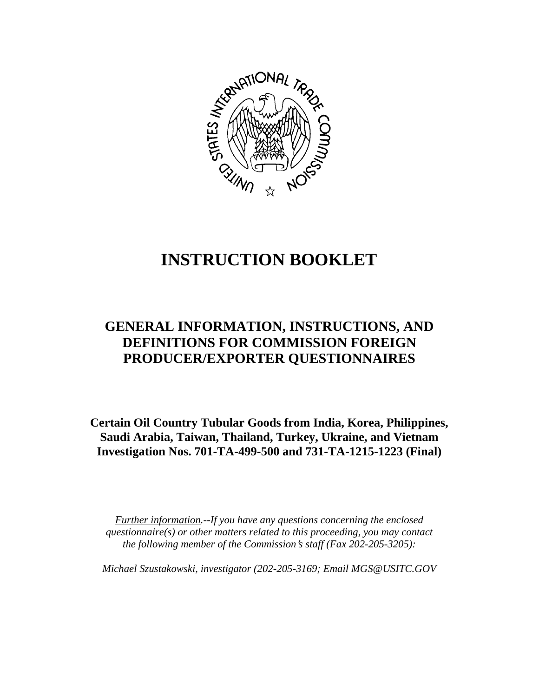

# **INSTRUCTION BOOKLET**

## **GENERAL INFORMATION, INSTRUCTIONS, AND DEFINITIONS FOR COMMISSION FOREIGN PRODUCER/EXPORTER QUESTIONNAIRES**

**Certain Oil Country Tubular Goods from India, Korea, Philippines, Saudi Arabia, Taiwan, Thailand, Turkey, Ukraine, and Vietnam Investigation Nos. 701-TA-499-500 and 731-TA-1215-1223 (Final)** 

*Further information.--If you have any questions concerning the enclosed questionnaire(s) or other matters related to this proceeding, you may contact the following member of the Commission*=*s staff (Fax 202-205-3205):* 

*Michael Szustakowski, investigator (202-205-3169; Email MGS@USITC.GOV*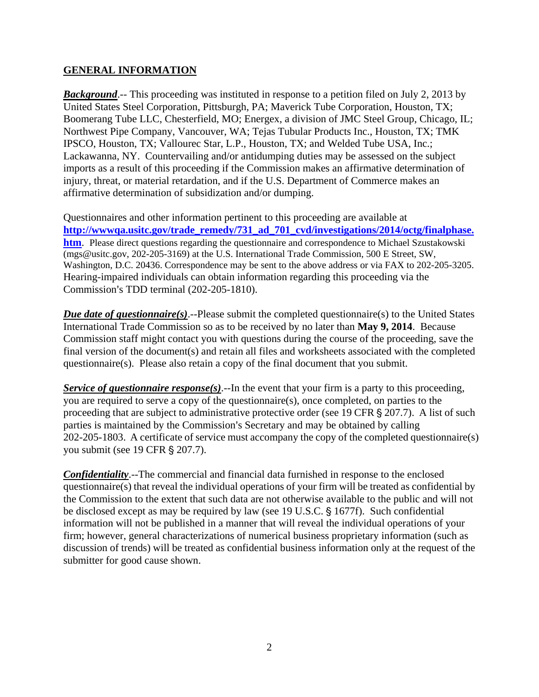#### **GENERAL INFORMATION**

*Background*.-- This proceeding was instituted in response to a petition filed on July 2, 2013 by United States Steel Corporation, Pittsburgh, PA; Maverick Tube Corporation, Houston, TX; Boomerang Tube LLC, Chesterfield, MO; Energex, a division of JMC Steel Group, Chicago, IL; Northwest Pipe Company, Vancouver, WA; Tejas Tubular Products Inc., Houston, TX; TMK IPSCO, Houston, TX; Vallourec Star, L.P., Houston, TX; and Welded Tube USA, Inc.; Lackawanna, NY. Countervailing and/or antidumping duties may be assessed on the subject imports as a result of this proceeding if the Commission makes an affirmative determination of injury, threat, or material retardation, and if the U.S. Department of Commerce makes an affirmative determination of subsidization and/or dumping.

Questionnaires and other information pertinent to this proceeding are available at **http://wwwqa.usitc.gov/trade\_remedy/731\_ad\_701\_cvd/investigations/2014/octg/finalphase. htm**. Please direct questions regarding the questionnaire and correspondence to Michael Szustakowski (mgs@usitc.gov, 202-205-3169) at the U.S. International Trade Commission, 500 E Street, SW, Washington, D.C. 20436. Correspondence may be sent to the above address or via FAX to 202-205-3205. Hearing-impaired individuals can obtain information regarding this proceeding via the Commission's TDD terminal (202-205-1810).

*Due date of questionnaire(s)*.--Please submit the completed questionnaire(s) to the United States International Trade Commission so as to be received by no later than **May 9, 2014**. Because Commission staff might contact you with questions during the course of the proceeding, save the final version of the document(s) and retain all files and worksheets associated with the completed questionnaire(s). Please also retain a copy of the final document that you submit.

*Service of questionnaire response(s).*--In the event that your firm is a party to this proceeding, you are required to serve a copy of the questionnaire(s), once completed, on parties to the proceeding that are subject to administrative protective order (see 19 CFR  $\S 207.7$ ). A list of such parties is maintained by the Commission's Secretary and may be obtained by calling 202-205-1803. A certificate of service must accompany the copy of the completed questionnaire(s) you submit (see 19 CFR § 207.7).

*Confidentiality*.--The commercial and financial data furnished in response to the enclosed questionnaire(s) that reveal the individual operations of your firm will be treated as confidential by the Commission to the extent that such data are not otherwise available to the public and will not be disclosed except as may be required by law (see 19 U.S.C. § 1677f). Such confidential information will not be published in a manner that will reveal the individual operations of your firm; however, general characterizations of numerical business proprietary information (such as discussion of trends) will be treated as confidential business information only at the request of the submitter for good cause shown.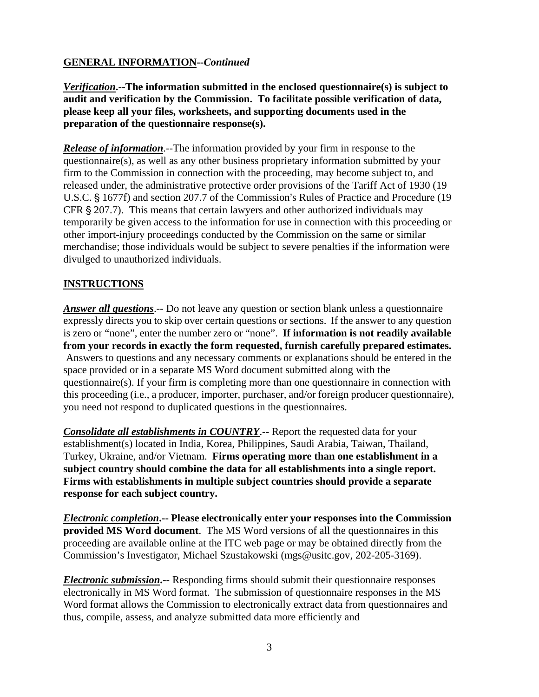#### **GENERAL INFORMATION--***Continued*

*Verification***.--The information submitted in the enclosed questionnaire(s) is subject to audit and verification by the Commission. To facilitate possible verification of data, please keep all your files, worksheets, and supporting documents used in the preparation of the questionnaire response(s).**

*Release of information*.--The information provided by your firm in response to the questionnaire(s), as well as any other business proprietary information submitted by your firm to the Commission in connection with the proceeding, may become subject to, and released under, the administrative protective order provisions of the Tariff Act of 1930 (19 U.S.C. § 1677f) and section 207.7 of the Commission's Rules of Practice and Procedure (19 CFR  $\S 207.7$ ). This means that certain lawyers and other authorized individuals may temporarily be given access to the information for use in connection with this proceeding or other import-injury proceedings conducted by the Commission on the same or similar merchandise; those individuals would be subject to severe penalties if the information were divulged to unauthorized individuals.

#### **INSTRUCTIONS**

*Answer all questions*.-- Do not leave any question or section blank unless a questionnaire expressly directs you to skip over certain questions or sections. If the answer to any question is zero or "none", enter the number zero or "none". **If information is not readily available from your records in exactly the form requested, furnish carefully prepared estimates.** Answers to questions and any necessary comments or explanations should be entered in the space provided or in a separate MS Word document submitted along with the questionnaire(s). If your firm is completing more than one questionnaire in connection with this proceeding (i.e., a producer, importer, purchaser, and/or foreign producer questionnaire), you need not respond to duplicated questions in the questionnaires.

*Consolidate all establishments in COUNTRY*.-- Report the requested data for your establishment(s) located in India, Korea, Philippines, Saudi Arabia, Taiwan, Thailand, Turkey, Ukraine, and/or Vietnam. **Firms operating more than one establishment in a subject country should combine the data for all establishments into a single report. Firms with establishments in multiple subject countries should provide a separate response for each subject country.** 

*Electronic completion***.-- Please electronically enter your responses into the Commission provided MS Word document**. The MS Word versions of all the questionnaires in this proceeding are available online at the ITC web page or may be obtained directly from the Commission's Investigator, Michael Szustakowski (mgs@usitc.gov, 202-205-3169).

*Electronic submission***.--** Responding firms should submit their questionnaire responses electronically in MS Word format. The submission of questionnaire responses in the MS Word format allows the Commission to electronically extract data from questionnaires and thus, compile, assess, and analyze submitted data more efficiently and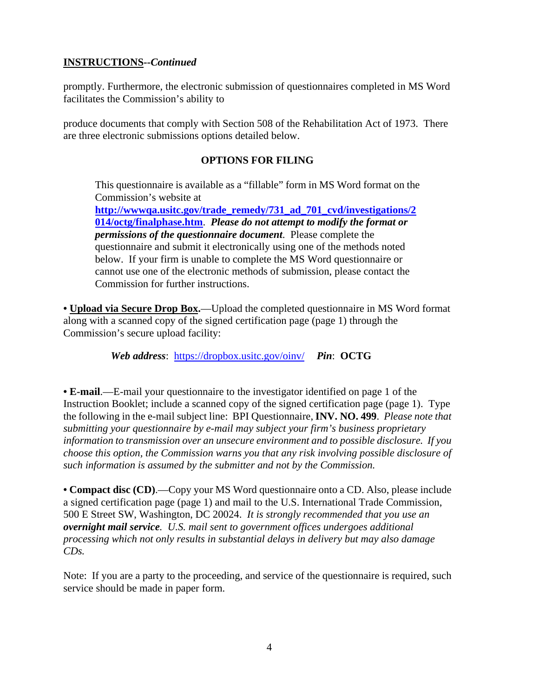#### **INSTRUCTIONS--***Continued*

promptly. Furthermore, the electronic submission of questionnaires completed in MS Word facilitates the Commission's ability to

produce documents that comply with Section 508 of the Rehabilitation Act of 1973. There are three electronic submissions options detailed below.

#### **OPTIONS FOR FILING**

This questionnaire is available as a "fillable" form in MS Word format on the Commission's website at

**http://wwwqa.usitc.gov/trade\_remedy/731\_ad\_701\_cvd/investigations/2 014/octg/finalphase.htm**. *Please do not attempt to modify the format or permissions of the questionnaire document*. Please complete the questionnaire and submit it electronically using one of the methods noted below. If your firm is unable to complete the MS Word questionnaire or cannot use one of the electronic methods of submission, please contact the Commission for further instructions.

**• Upload via Secure Drop Box.**—Upload the completed questionnaire in MS Word format along with a scanned copy of the signed certification page (page 1) through the Commission's secure upload facility:

*Web address*: https://dropbox.usitc.gov/oinv/ *Pin*: **OCTG**

**• E-mail**.—E-mail your questionnaire to the investigator identified on page 1 of the Instruction Booklet; include a scanned copy of the signed certification page (page 1). Type the following in the e-mail subject line: BPI Questionnaire, **INV. NO. 499**. *Please note that submitting your questionnaire by e-mail may subject your firm's business proprietary information to transmission over an unsecure environment and to possible disclosure. If you choose this option, the Commission warns you that any risk involving possible disclosure of such information is assumed by the submitter and not by the Commission.* 

**• Compact disc (CD)**.—Copy your MS Word questionnaire onto a CD. Also, please include a signed certification page (page 1) and mail to the U.S. International Trade Commission, 500 E Street SW, Washington, DC 20024. *It is strongly recommended that you use an overnight mail service. U.S. mail sent to government offices undergoes additional processing which not only results in substantial delays in delivery but may also damage CDs.* 

Note: If you are a party to the proceeding, and service of the questionnaire is required, such service should be made in paper form.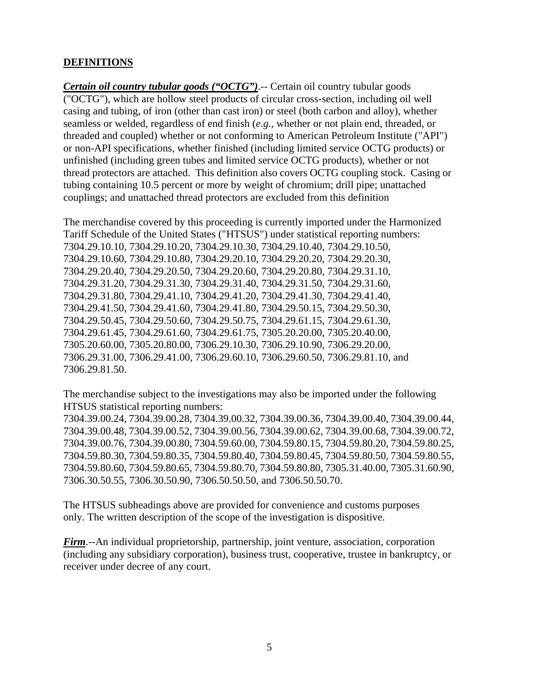#### **DEFINITIONS**

*Certain oil country tubular goods ("OCTG")*.-- Certain oil country tubular goods ("OCTG"), which are hollow steel products of circular cross-section, including oil well casing and tubing, of iron (other than cast iron) or steel (both carbon and alloy), whether seamless or welded, regardless of end finish (*e.g.*, whether or not plain end, threaded, or threaded and coupled) whether or not conforming to American Petroleum Institute ("API") or non-API specifications, whether finished (including limited service OCTG products) or unfinished (including green tubes and limited service OCTG products), whether or not thread protectors are attached. This definition also covers OCTG coupling stock. Casing or tubing containing 10.5 percent or more by weight of chromium; drill pipe; unattached couplings; and unattached thread protectors are excluded from this definition

The merchandise covered by this proceeding is currently imported under the Harmonized Tariff Schedule of the United States ("HTSUS") under statistical reporting numbers: 7304.29.10.10, 7304.29.10.20, 7304.29.10.30, 7304.29.10.40, 7304.29.10.50, 7304.29.10.60, 7304.29.10.80, 7304.29.20.10, 7304.29.20.20, 7304.29.20.30, 7304.29.20.40, 7304.29.20.50, 7304.29.20.60, 7304.29.20.80, 7304.29.31.10, 7304.29.31.20, 7304.29.31.30, 7304.29.31.40, 7304.29.31.50, 7304.29.31.60, 7304.29.31.80, 7304.29.41.10, 7304.29.41.20, 7304.29.41.30, 7304.29.41.40, 7304.29.41.50, 7304.29.41.60, 7304.29.41.80, 7304.29.50.15, 7304.29.50.30, 7304.29.50.45, 7304.29.50.60, 7304.29.50.75, 7304.29.61.15, 7304.29.61.30, 7304.29.61.45, 7304.29.61.60, 7304.29.61.75, 7305.20.20.00, 7305.20.40.00, 7305.20.60.00, 7305.20.80.00, 7306.29.10.30, 7306.29.10.90, 7306.29.20.00, 7306.29.31.00, 7306.29.41.00, 7306.29.60.10, 7306.29.60.50, 7306.29.81.10, and 7306.29.81.50.

The merchandise subject to the investigations may also be imported under the following HTSUS statistical reporting numbers:

7304.39.00.24, 7304.39.00.28, 7304.39.00.32, 7304.39.00.36, 7304.39.00.40, 7304.39.00.44, 7304.39.00.48, 7304.39.00.52, 7304.39.00.56, 7304.39.00.62, 7304.39.00.68, 7304.39.00.72, 7304.39.00.76, 7304.39.00.80, 7304.59.60.00, 7304.59.80.15, 7304.59.80.20, 7304.59.80.25, 7304.59.80.30, 7304.59.80.35, 7304.59.80.40, 7304.59.80.45, 7304.59.80.50, 7304.59.80.55, 7304.59.80.60, 7304.59.80.65, 7304.59.80.70, 7304.59.80.80, 7305.31.40.00, 7305.31.60.90, 7306.30.50.55, 7306.30.50.90, 7306.50.50.50, and 7306.50.50.70.

The HTSUS subheadings above are provided for convenience and customs purposes only. The written description of the scope of the investigation is dispositive.

*Firm*.--An individual proprietorship, partnership, joint venture, association, corporation (including any subsidiary corporation), business trust, cooperative, trustee in bankruptcy, or receiver under decree of any court.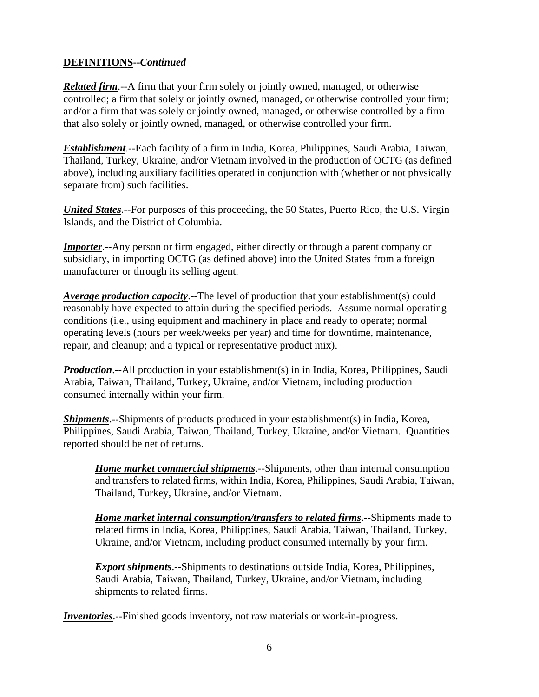#### **DEFINITIONS--***Continued*

*Related firm*.--A firm that your firm solely or jointly owned, managed, or otherwise controlled; a firm that solely or jointly owned, managed, or otherwise controlled your firm; and/or a firm that was solely or jointly owned, managed, or otherwise controlled by a firm that also solely or jointly owned, managed, or otherwise controlled your firm.

*Establishment*.--Each facility of a firm in India, Korea, Philippines, Saudi Arabia, Taiwan, Thailand, Turkey, Ukraine, and/or Vietnam involved in the production of OCTG (as defined above), including auxiliary facilities operated in conjunction with (whether or not physically separate from) such facilities.

*United States.*--For purposes of this proceeding, the 50 States, Puerto Rico, the U.S. Virgin Islands, and the District of Columbia.

*Importer*.--Any person or firm engaged, either directly or through a parent company or subsidiary, in importing OCTG (as defined above) into the United States from a foreign manufacturer or through its selling agent.

*Average production capacity*.--The level of production that your establishment(s) could reasonably have expected to attain during the specified periods. Assume normal operating conditions (i.e., using equipment and machinery in place and ready to operate; normal operating levels (hours per week/weeks per year) and time for downtime, maintenance, repair, and cleanup; and a typical or representative product mix).

*Production*.--All production in your establishment(s) in in India, Korea, Philippines, Saudi Arabia, Taiwan, Thailand, Turkey, Ukraine, and/or Vietnam, including production consumed internally within your firm.

*Shipments*.--Shipments of products produced in your establishment(s) in India, Korea, Philippines, Saudi Arabia, Taiwan, Thailand, Turkey, Ukraine, and/or Vietnam. Quantities reported should be net of returns.

*Home market commercial shipments*.--Shipments, other than internal consumption and transfers to related firms, within India, Korea, Philippines, Saudi Arabia, Taiwan, Thailand, Turkey, Ukraine, and/or Vietnam.

*Home market internal consumption/transfers to related firms*.--Shipments made to related firms in India, Korea, Philippines, Saudi Arabia, Taiwan, Thailand, Turkey, Ukraine, and/or Vietnam, including product consumed internally by your firm.

*Export shipments*.--Shipments to destinations outside India, Korea, Philippines, Saudi Arabia, Taiwan, Thailand, Turkey, Ukraine, and/or Vietnam, including shipments to related firms.

*Inventories*.--Finished goods inventory, not raw materials or work-in-progress.